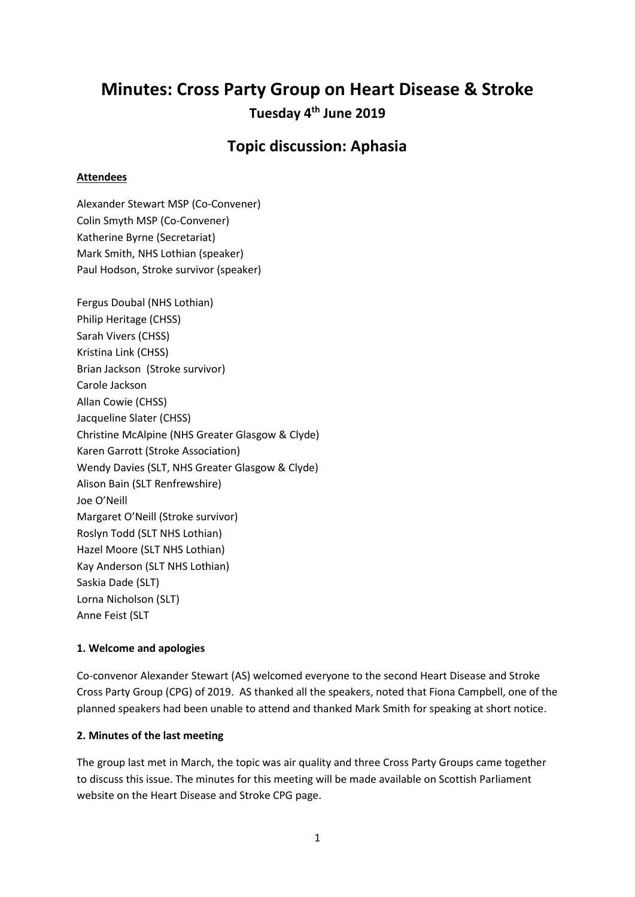# **Minutes: Cross Party Group on Heart Disease & Stroke Tuesday 4th June 2019**

## **Topic discussion: Aphasia**

### **Attendees**

Alexander Stewart MSP (Co-Convener) Colin Smyth MSP (Co-Convener) Katherine Byrne (Secretariat) Mark Smith, NHS Lothian (speaker) Paul Hodson, Stroke survivor (speaker)

Fergus Doubal (NHS Lothian) Philip Heritage (CHSS) Sarah Vivers (CHSS) Kristina Link (CHSS) Brian Jackson (Stroke survivor) Carole Jackson Allan Cowie (CHSS) Jacqueline Slater (CHSS) Christine McAlpine (NHS Greater Glasgow & Clyde) Karen Garrott (Stroke Association) Wendy Davies (SLT, NHS Greater Glasgow & Clyde) Alison Bain (SLT Renfrewshire) Joe O'Neill Margaret O'Neill (Stroke survivor) Roslyn Todd (SLT NHS Lothian) Hazel Moore (SLT NHS Lothian) Kay Anderson (SLT NHS Lothian) Saskia Dade (SLT) Lorna Nicholson (SLT) Anne Feist (SLT

#### **1. Welcome and apologies**

Co-convenor Alexander Stewart (AS) welcomed everyone to the second Heart Disease and Stroke Cross Party Group (CPG) of 2019. AS thanked all the speakers, noted that Fiona Campbell, one of the planned speakers had been unable to attend and thanked Mark Smith for speaking at short notice.

#### **2. Minutes of the last meeting**

The group last met in March, the topic was air quality and three Cross Party Groups came together to discuss this issue. The minutes for this meeting will be made available on Scottish Parliament website on the Heart Disease and Stroke CPG page.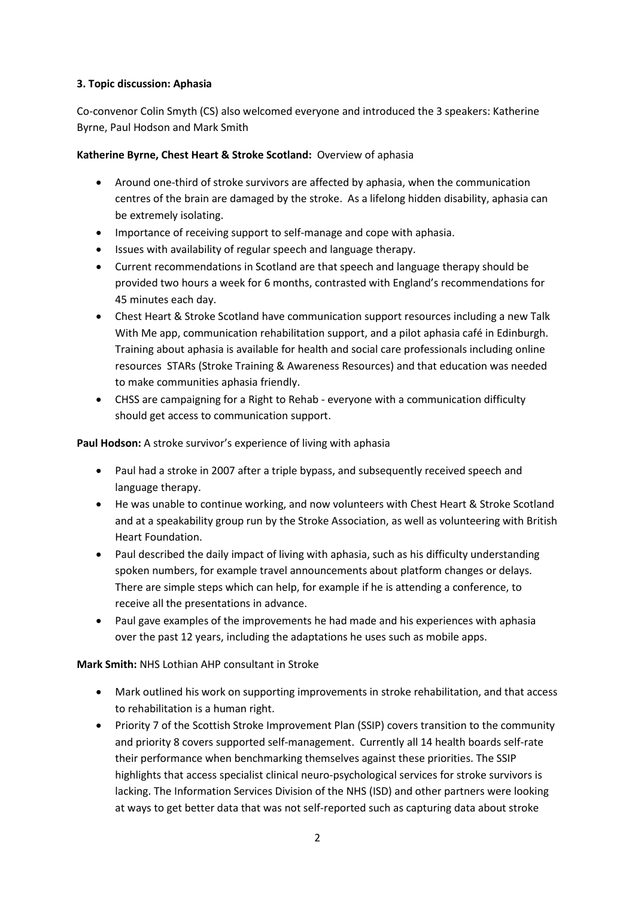#### **3. Topic discussion: Aphasia**

Co-convenor Colin Smyth (CS) also welcomed everyone and introduced the 3 speakers: Katherine Byrne, Paul Hodson and Mark Smith

#### **Katherine Byrne, Chest Heart & Stroke Scotland:** Overview of aphasia

- Around one-third of stroke survivors are affected by aphasia, when the communication centres of the brain are damaged by the stroke. As a lifelong hidden disability, aphasia can be extremely isolating.
- Importance of receiving support to self-manage and cope with aphasia.
- Issues with availability of regular speech and language therapy.
- Current recommendations in Scotland are that speech and language therapy should be provided two hours a week for 6 months, contrasted with England's recommendations for 45 minutes each day.
- Chest Heart & Stroke Scotland have communication support resources including a new Talk With Me app, communication rehabilitation support, and a pilot aphasia café in Edinburgh. Training about aphasia is available for health and social care professionals including online resources STARs (Stroke Training & Awareness Resources) and that education was needed to make communities aphasia friendly.
- CHSS are campaigning for a Right to Rehab everyone with a communication difficulty should get access to communication support.

**Paul Hodson:** A stroke survivor's experience of living with aphasia

- Paul had a stroke in 2007 after a triple bypass, and subsequently received speech and language therapy.
- He was unable to continue working, and now volunteers with Chest Heart & Stroke Scotland and at a speakability group run by the Stroke Association, as well as volunteering with British Heart Foundation.
- Paul described the daily impact of living with aphasia, such as his difficulty understanding spoken numbers, for example travel announcements about platform changes or delays. There are simple steps which can help, for example if he is attending a conference, to receive all the presentations in advance.
- Paul gave examples of the improvements he had made and his experiences with aphasia over the past 12 years, including the adaptations he uses such as mobile apps.

**Mark Smith:** NHS Lothian AHP consultant in Stroke

- Mark outlined his work on supporting improvements in stroke rehabilitation, and that access to rehabilitation is a human right.
- Priority 7 of the Scottish Stroke Improvement Plan (SSIP) covers transition to the community and priority 8 covers supported self-management. Currently all 14 health boards self-rate their performance when benchmarking themselves against these priorities. The SSIP highlights that access specialist clinical neuro-psychological services for stroke survivors is lacking. The Information Services Division of the NHS (ISD) and other partners were looking at ways to get better data that was not self-reported such as capturing data about stroke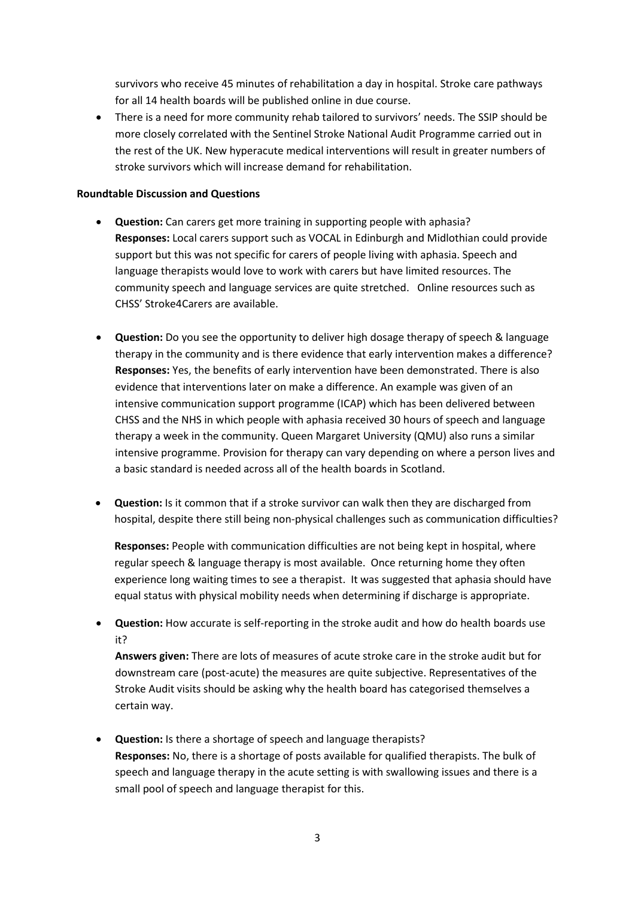survivors who receive 45 minutes of rehabilitation a day in hospital. Stroke care pathways for all 14 health boards will be published online in due course.

• There is a need for more community rehab tailored to survivors' needs. The SSIP should be more closely correlated with the Sentinel Stroke National Audit Programme carried out in the rest of the UK. New hyperacute medical interventions will result in greater numbers of stroke survivors which will increase demand for rehabilitation.

#### **Roundtable Discussion and Questions**

- **Question:** Can carers get more training in supporting people with aphasia? **Responses:** Local carers support such as VOCAL in Edinburgh and Midlothian could provide support but this was not specific for carers of people living with aphasia. Speech and language therapists would love to work with carers but have limited resources. The community speech and language services are quite stretched. Online resources such as CHSS' Stroke4Carers are available.
- **Question:** Do you see the opportunity to deliver high dosage therapy of speech & language therapy in the community and is there evidence that early intervention makes a difference? **Responses:** Yes, the benefits of early intervention have been demonstrated. There is also evidence that interventions later on make a difference. An example was given of an intensive communication support programme (ICAP) which has been delivered between CHSS and the NHS in which people with aphasia received 30 hours of speech and language therapy a week in the community. Queen Margaret University (QMU) also runs a similar intensive programme. Provision for therapy can vary depending on where a person lives and a basic standard is needed across all of the health boards in Scotland.
- **Question:** Is it common that if a stroke survivor can walk then they are discharged from hospital, despite there still being non-physical challenges such as communication difficulties?

**Responses:** People with communication difficulties are not being kept in hospital, where regular speech & language therapy is most available. Once returning home they often experience long waiting times to see a therapist. It was suggested that aphasia should have equal status with physical mobility needs when determining if discharge is appropriate.

• **Question:** How accurate is self-reporting in the stroke audit and how do health boards use it?

**Answers given:** There are lots of measures of acute stroke care in the stroke audit but for downstream care (post-acute) the measures are quite subjective. Representatives of the Stroke Audit visits should be asking why the health board has categorised themselves a certain way.

• **Question:** Is there a shortage of speech and language therapists? **Responses:** No, there is a shortage of posts available for qualified therapists. The bulk of speech and language therapy in the acute setting is with swallowing issues and there is a small pool of speech and language therapist for this.